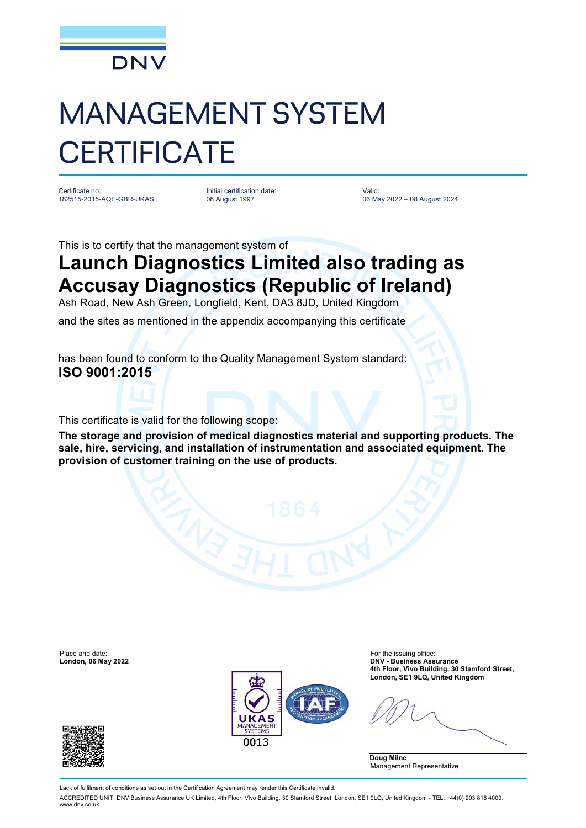

## MANAGEMENT SYSTEM **CERTIFICATE**

Certificate no.: 182515-2015-AQE-GBR-UKAS Initial certification date: 08 August 1997

Valid: 06 May 2022 – 08 August 2024

This is to certify that the management system of

## **Launch Diagnostics Limited also trading as Accusay Diagnostics (Republic of Ireland)**

Ash Road, New Ash Green, Longfield, Kent, DA3 8JD, United Kingdom

and the sites as mentioned in the appendix accompanying this certificate

has been found to conform to the Quality Management System standard: **ISO 9001:2015**

This certificate is valid for the following scope:

**The storage and provision of medical diagnostics material and supporting products. The sale, hire, servicing, and installation of instrumentation and associated equipment. The provision of customer training on the use of products.**

Place and date: For the issuing office:<br> **Place and date:** For the issuing office:<br> **DNV - Business Ass** 



**London, 06 May 2022 DNV - Business Assurance 4th Floor, Vivo Building, 30 Stamford Street, London, SE1 9LQ, United Kingdom**

**Doug Milne** Management Representative



Lack of fulfilment of conditions as set out in the Certification Agreement may render this Certificate invalid.

ACCREDITED UNIT: DNV Business Assurance UK Limited, 4th Floor, Vivo Building, 30 Stamford Street, London, SE1 9LQ, United Kingdom - TEL: +44(0) 203 816 4000. [www.dnv.co.uk](http://www.dnv.co.uk)